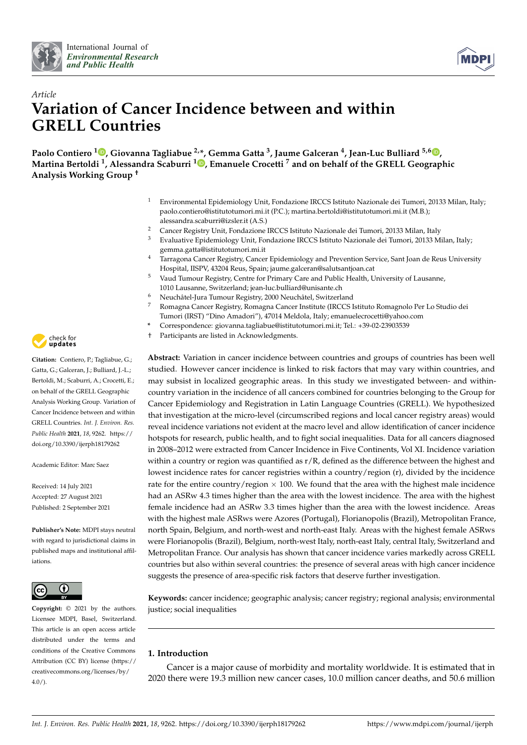



# *Article* **Variation of Cancer Incidence between and within GRELL Countries**

**Paolo Contiero <sup>1</sup> [,](https://orcid.org/0000-0001-6760-3605) Giovanna Tagliabue 2,\*, Gemma Gatta <sup>3</sup> , Jaume Galceran <sup>4</sup> , Jean-Luc Bulliard 5,6 [,](https://orcid.org/0000-0001-9750-2709) Martina Bertoldi <sup>1</sup> , Alessandra Scaburri <sup>1</sup> [,](https://orcid.org/0000-0003-3427-722X) Emanuele Crocetti <sup>7</sup> and on behalf of the GRELL Geographic Analysis Working Group †**

- <sup>1</sup> Environmental Epidemiology Unit, Fondazione IRCCS Istituto Nazionale dei Tumori, 20133 Milan, Italy; paolo.contiero@istitutotumori.mi.it (P.C.); martina.bertoldi@istitutotumori.mi.it (M.B.); alessandra.scaburri@izsler.it (A.S.)
- 2 Cancer Registry Unit, Fondazione IRCCS Istituto Nazionale dei Tumori, 20133 Milan, Italy<br>3 Evaluative Enidemiology Unit, Fondazione IRCCS Istituto Nazionale dei Tumori, 20133 Mi
- <sup>3</sup> Evaluative Epidemiology Unit, Fondazione IRCCS Istituto Nazionale dei Tumori, 20133 Milan, Italy; gemma.gatta@istitutotumori.mi.it
- <sup>4</sup> Tarragona Cancer Registry, Cancer Epidemiology and Prevention Service, Sant Joan de Reus University Hospital, IISPV, 43204 Reus, Spain; jaume.galceran@salutsantjoan.cat
- <sup>5</sup> Vaud Tumour Registry, Centre for Primary Care and Public Health, University of Lausanne, 1010 Lausanne, Switzerland; jean-luc.bulliard@unisante.ch
- <sup>6</sup> Neuchâtel-Jura Tumour Registry, 2000 Neuchâtel, Switzerland
- <sup>7</sup> Romagna Cancer Registry, Romagna Cancer Institute (IRCCS Istituto Romagnolo Per Lo Studio dei
- Tumori (IRST) "Dino Amadori"), 47014 Meldola, Italy; emanuelecrocetti@yahoo.com
- **\*** Correspondence: giovanna.tagliabue@istitutotumori.mi.it; Tel.: +39-02-23903539
- Participants are listed in Acknowledgments.

**Abstract:** Variation in cancer incidence between countries and groups of countries has been well studied. However cancer incidence is linked to risk factors that may vary within countries, and may subsist in localized geographic areas. In this study we investigated between- and withincountry variation in the incidence of all cancers combined for countries belonging to the Group for Cancer Epidemiology and Registration in Latin Language Countries (GRELL). We hypothesized that investigation at the micro-level (circumscribed regions and local cancer registry areas) would reveal incidence variations not evident at the macro level and allow identification of cancer incidence hotspots for research, public health, and to fight social inequalities. Data for all cancers diagnosed in 2008–2012 were extracted from Cancer Incidence in Five Continents, Vol XI. Incidence variation within a country or region was quantified as  $r/R$ , defined as the difference between the highest and lowest incidence rates for cancer registries within a country/region (r), divided by the incidence rate for the entire country/region  $\times$  100. We found that the area with the highest male incidence had an ASRw 4.3 times higher than the area with the lowest incidence. The area with the highest female incidence had an ASRw 3.3 times higher than the area with the lowest incidence. Areas with the highest male ASRws were Azores (Portugal), Florianopolis (Brazil), Metropolitan France, north Spain, Belgium, and north-west and north-east Italy. Areas with the highest female ASRws were Florianopolis (Brazil), Belgium, north-west Italy, north-east Italy, central Italy, Switzerland and Metropolitan France. Our analysis has shown that cancer incidence varies markedly across GRELL countries but also within several countries: the presence of several areas with high cancer incidence suggests the presence of area-specific risk factors that deserve further investigation.

**Keywords:** cancer incidence; geographic analysis; cancer registry; regional analysis; environmental justice; social inequalities

## **1. Introduction**

Cancer is a major cause of morbidity and mortality worldwide. It is estimated that in 2020 there were 19.3 million new cancer cases, 10.0 million cancer deaths, and 50.6 million



**Citation:** Contiero, P.; Tagliabue, G.; Gatta, G.; Galceran, J.; Bulliard, J.-L.; Bertoldi, M.; Scaburri, A.; Crocetti, E.; on behalf of the GRELL Geographic Analysis Working Group. Variation of Cancer Incidence between and within GRELL Countries. *Int. J. Environ. Res. Public Health* **2021**, *18*, 9262. [https://](https://doi.org/10.3390/ijerph18179262) [doi.org/10.3390/ijerph18179262](https://doi.org/10.3390/ijerph18179262)

Academic Editor: Marc Saez

Received: 14 July 2021 Accepted: 27 August 2021 Published: 2 September 2021

**Publisher's Note:** MDPI stays neutral with regard to jurisdictional claims in published maps and institutional affiliations.



**Copyright:** © 2021 by the authors. Licensee MDPI, Basel, Switzerland. This article is an open access article distributed under the terms and conditions of the Creative Commons Attribution (CC BY) license (https:/[/](https://creativecommons.org/licenses/by/4.0/) [creativecommons.org/licenses/by/](https://creativecommons.org/licenses/by/4.0/)  $4.0/$ ).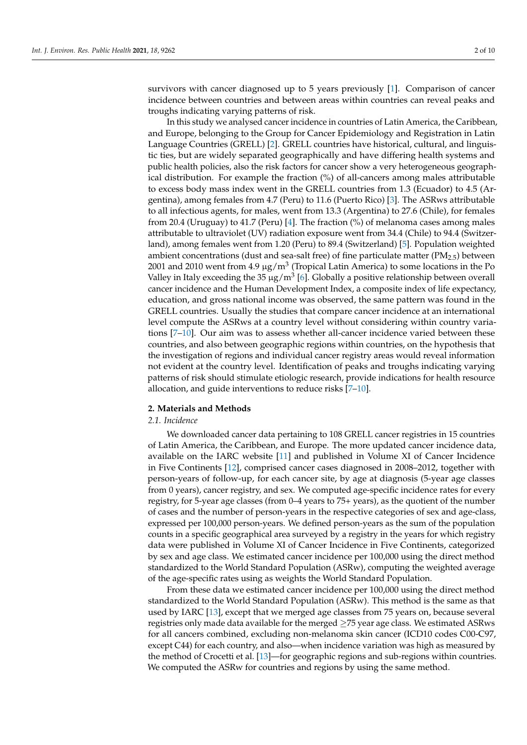survivors with cancer diagnosed up to 5 years previously [\[1\]](#page-8-0). Comparison of cancer incidence between countries and between areas within countries can reveal peaks and troughs indicating varying patterns of risk.

In this study we analysed cancer incidence in countries of Latin America, the Caribbean, and Europe, belonging to the Group for Cancer Epidemiology and Registration in Latin Language Countries (GRELL) [\[2\]](#page-8-1). GRELL countries have historical, cultural, and linguistic ties, but are widely separated geographically and have differing health systems and public health policies, also the risk factors for cancer show a very heterogeneous geographical distribution. For example the fraction (%) of all-cancers among males attributable to excess body mass index went in the GRELL countries from 1.3 (Ecuador) to 4.5 (Argentina), among females from 4.7 (Peru) to 11.6 (Puerto Rico) [\[3\]](#page-8-2). The ASRws attributable to all infectious agents, for males, went from 13.3 (Argentina) to 27.6 (Chile), for females from 20.4 (Uruguay) to 41.7 (Peru) [\[4\]](#page-8-3). The fraction (%) of melanoma cases among males attributable to ultraviolet (UV) radiation exposure went from 34.4 (Chile) to 94.4 (Switzerland), among females went from 1.20 (Peru) to 89.4 (Switzerland) [\[5\]](#page-8-4). Population weighted ambient concentrations (dust and sea-salt free) of fine particulate matter ( $PM<sub>2.5</sub>$ ) between 2001 and 2010 went from 4.9  $\mu$ g/m $^3$  (Tropical Latin America) to some locations in the Po Valley in Italy exceeding the 35  $\mu$ g/m<sup>3</sup> [\[6\]](#page-8-5). Globally a positive relationship between overall cancer incidence and the Human Development Index, a composite index of life expectancy, education, and gross national income was observed, the same pattern was found in the GRELL countries. Usually the studies that compare cancer incidence at an international level compute the ASRws at a country level without considering within country variations [\[7–](#page-8-6)[10\]](#page-8-7). Our aim was to assess whether all-cancer incidence varied between these countries, and also between geographic regions within countries, on the hypothesis that the investigation of regions and individual cancer registry areas would reveal information not evident at the country level. Identification of peaks and troughs indicating varying patterns of risk should stimulate etiologic research, provide indications for health resource allocation, and guide interventions to reduce risks [\[7](#page-8-6)[–10\]](#page-8-7).

## **2. Materials and Methods**

## *2.1. Incidence*

We downloaded cancer data pertaining to 108 GRELL cancer registries in 15 countries of Latin America, the Caribbean, and Europe. The more updated cancer incidence data, available on the IARC website [\[11\]](#page-8-8) and published in Volume XI of Cancer Incidence in Five Continents [\[12\]](#page-9-0), comprised cancer cases diagnosed in 2008–2012, together with person-years of follow-up, for each cancer site, by age at diagnosis (5-year age classes from 0 years), cancer registry, and sex. We computed age-specific incidence rates for every registry, for 5-year age classes (from 0–4 years to 75+ years), as the quotient of the number of cases and the number of person-years in the respective categories of sex and age-class, expressed per 100,000 person-years. We defined person-years as the sum of the population counts in a specific geographical area surveyed by a registry in the years for which registry data were published in Volume XI of Cancer Incidence in Five Continents, categorized by sex and age class. We estimated cancer incidence per 100,000 using the direct method standardized to the World Standard Population (ASRw), computing the weighted average of the age-specific rates using as weights the World Standard Population.

From these data we estimated cancer incidence per 100,000 using the direct method standardized to the World Standard Population (ASRw). This method is the same as that used by IARC [\[13\]](#page-9-1), except that we merged age classes from 75 years on, because several registries only made data available for the merged  $\geq$ 75 year age class. We estimated ASRws for all cancers combined, excluding non-melanoma skin cancer (ICD10 codes C00-C97, except C44) for each country, and also—when incidence variation was high as measured by the method of Crocetti et al. [\[13\]](#page-9-1)—for geographic regions and sub-regions within countries. We computed the ASRw for countries and regions by using the same method.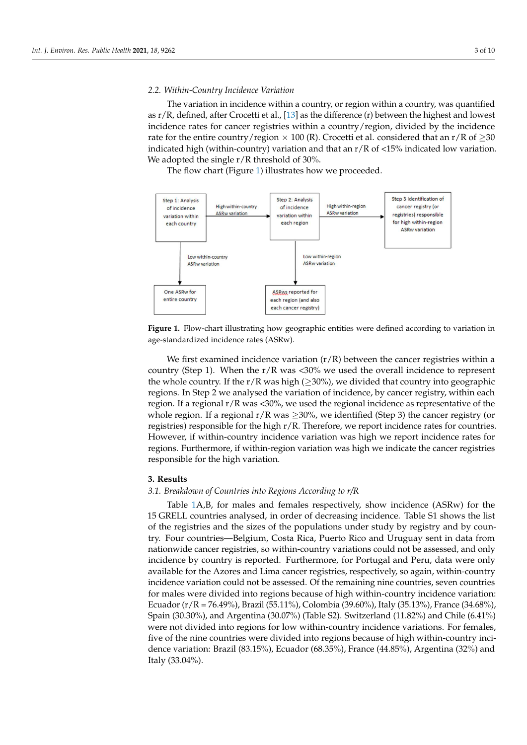## *2.2. Within-Country Incidence Variation 2.2. Within-Country Incidence Variation*

ation in age-standardized incidence rates (ASRw).

The variation in incidence within a country, or region within a country, was quantified as  $r/R$ , defined, after Crocetti et al., [\[13\]](#page-9-1) as the difference (r) between the highest and lowest incidence rates for cancer registries within a country/region, divided by the incidence rate for the entire country/region × 100 (R). Crocetti et al. considered that an r/R of  $\geq$ 30 indicated high (within-country) variation and that an  $r/R$  of <15% indicated low variation. We adopted the single r/R threshold of 30%.

The flow chart (Figure [1\)](#page-2-0) illustrates how we proceeded. The flow chart (Figure 1) illustrates how we proceeded.

<span id="page-2-0"></span>

**Figure 1. <b>Figure 1. Figure 1. Figure 1. Figure 1. Figure 1. Figure 1. Figure 1. Figure 1. Figure 1. Figure 1. Figure 1. Figure 1. Figure 1. Figure 1. Figure 1. Figure 1. Figure 1. Figure Figure 1.** Flow-chart illustrating how geographic entities were defined according to variation in

We first examined incidence variation (r/R) between the cancer registries within a country (Step 1). When the r/R was <30% we used the overall incidence to represent the whole country. If the r/R was high ( $\geq$ 30%), we divided that country into geographic regions. In Step 2 we analysed the variation of incidence, by cancer registry, within each regions. region. If a regional r/R was <30%, we used the regional incidence as representative of the whole region. If a regional  $r/R$  was  $\geq 30%$ , we identified (Step 3) the cancer registry (or registries) responsible for the high r/R. Therefore, we report incidence rates for countries. However, if within-country incidence variation was high we report incidence rates for regions. Furthermore, if within-region variation was high we indicate the cancer registries responsible for the high variation  $\epsilon$ responsible for the high variation. We first examined incidence variation  $(r/R)$  between the cancer registries within a responsible for the high variation.

## **3. Results**

## **3. Results**  *3.1. Breakdown of Countries into Regions According to r/R*

Table [1A](#page-3-0),B, for males and females respectively, show incidence (ASRw) for the 15 GRELL countries analysed, in order of decreasing incidence. Table S1 shows the list of the registries and the sizes of the populations under study by registry and by country. Four countries—Belgium, Costa Rica, Puerto Rico and Uruguay sent in data from nationwide cancer registries, so within-country variations could not be assessed, and only incidence by country is reported. Furthermore, for Portugal and Peru, data were only available for the Azores and Lima cancer registries, respectively, so again, within-country incidence variation could not be assessed. Of the remaining nine countries, seven countries for males were divided into regions because of high within-country incidence variation: Ecuador (r/R = 76.49%), Brazil (55.11%), Colombia (39.60%), Italy (35.13%), France (34.68%), Spain (30.30%), and Argentina (30.07%) (Table S2). Switzerland (11.82%) and Chile (6.41%) were not divided into regions for low within-country incidence variations. For females, five of the nine countries were divided into regions because of high within-country incidence variation: Brazil (83.15%), Ecuador (68.35%), France (44.85%), Argentina (32%) and Italy (33.04%).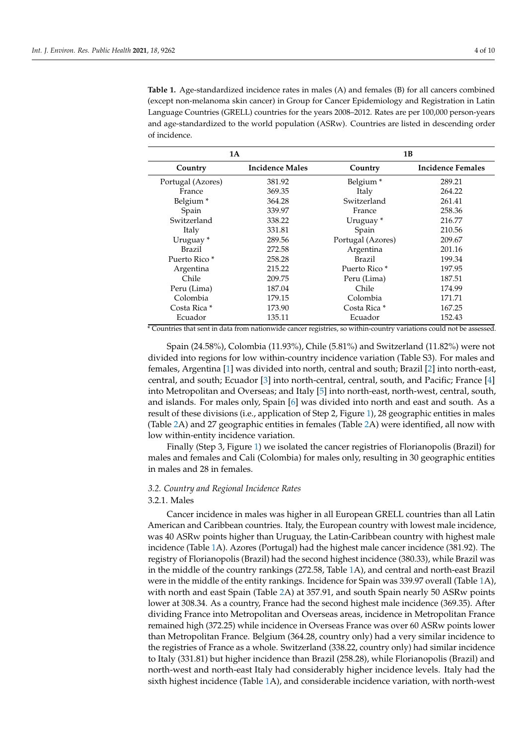<span id="page-3-0"></span>**Table 1.** Age-standardized incidence rates in males (A) and females (B) for all cancers combined (except non-melanoma skin cancer) in Group for Cancer Epidemiology and Registration in Latin Language Countries (GRELL) countries for the years 2008–2012. Rates are per 100,000 person-years and age-standardized to the world population (ASRw). Countries are listed in descending order of incidence.

| 1A                       |                        | 1B                       |                          |
|--------------------------|------------------------|--------------------------|--------------------------|
| Country                  | <b>Incidence Males</b> | Country                  | <b>Incidence Females</b> |
| Portugal (Azores)        | 381.92                 | Belgium <sup>*</sup>     | 289.21                   |
| France                   | 369.35                 | Italy                    | 264.22                   |
| Belgium <sup>*</sup>     | 364.28                 | Switzerland              | 261.41                   |
| Spain                    | 339.97                 | France                   | 258.36                   |
| Switzerland              | 338.22                 | Uruguay*                 | 216.77                   |
| Italy                    | 331.81                 | Spain                    | 210.56                   |
| Uruguay <sup>*</sup>     | 289.56                 | Portugal (Azores)        | 209.67                   |
| Brazil                   | 272.58                 | Argentina                | 201.16                   |
| Puerto Rico <sup>*</sup> | 258.28                 | Brazil                   | 199.34                   |
| Argentina                | 215.22                 | Puerto Rico <sup>*</sup> | 197.95                   |
| Chile                    | 209.75                 | Peru (Lima)              | 187.51                   |
| Peru (Lima)              | 187.04                 | Chile                    | 174.99                   |
| Colombia                 | 179.15                 | Colombia                 | 171.71                   |
| Costa Rica *             | 173.90                 | Costa Rica *             | 167.25                   |
| Ecuador                  | 135.11                 | Ecuador                  | 152.43                   |

\* Countries that sent in data from nationwide cancer registries, so within-country variations could not be assessed.

Spain (24.58%), Colombia (11.93%), Chile (5.81%) and Switzerland (11.82%) were not divided into regions for low within-country incidence variation (Table S3). For males and females, Argentina [\[1\]](#page-8-0) was divided into north, central and south; Brazil [\[2\]](#page-8-1) into north-east, central, and south; Ecuador [\[3\]](#page-8-2) into north-central, central, south, and Pacific; France [\[4\]](#page-8-3) into Metropolitan and Overseas; and Italy [\[5\]](#page-8-4) into north-east, north-west, central, south, and islands. For males only, Spain [\[6\]](#page-8-5) was divided into north and east and south. As a result of these divisions (i.e., application of Step 2, Figure [1\)](#page-2-0), 28 geographic entities in males (Table [2A](#page-4-0)) and 27 geographic entities in females (Table [2A](#page-4-0)) were identified, all now with low within-entity incidence variation.

Finally (Step 3, Figure [1\)](#page-2-0) we isolated the cancer registries of Florianopolis (Brazil) for males and females and Cali (Colombia) for males only, resulting in 30 geographic entities in males and 28 in females.

## *3.2. Country and Regional Incidence Rates*

## 3.2.1. Males

Cancer incidence in males was higher in all European GRELL countries than all Latin American and Caribbean countries. Italy, the European country with lowest male incidence, was 40 ASRw points higher than Uruguay, the Latin-Caribbean country with highest male incidence (Table [1A](#page-3-0)). Azores (Portugal) had the highest male cancer incidence (381.92). The registry of Florianopolis (Brazil) had the second highest incidence (380.33), while Brazil was in the middle of the country rankings (272.58, Table [1A](#page-3-0)), and central and north-east Brazil were in the middle of the entity rankings. Incidence for Spain was 339.97 overall (Table [1A](#page-3-0)), with north and east Spain (Table [2A](#page-4-0)) at 357.91, and south Spain nearly 50 ASRw points lower at 308.34. As a country, France had the second highest male incidence (369.35). After dividing France into Metropolitan and Overseas areas, incidence in Metropolitan France remained high (372.25) while incidence in Overseas France was over 60 ASRw points lower than Metropolitan France. Belgium (364.28, country only) had a very similar incidence to the registries of France as a whole. Switzerland (338.22, country only) had similar incidence to Italy (331.81) but higher incidence than Brazil (258.28), while Florianopolis (Brazil) and north-west and north-east Italy had considerably higher incidence levels. Italy had the sixth highest incidence (Table [1A](#page-3-0)), and considerable incidence variation, with north-west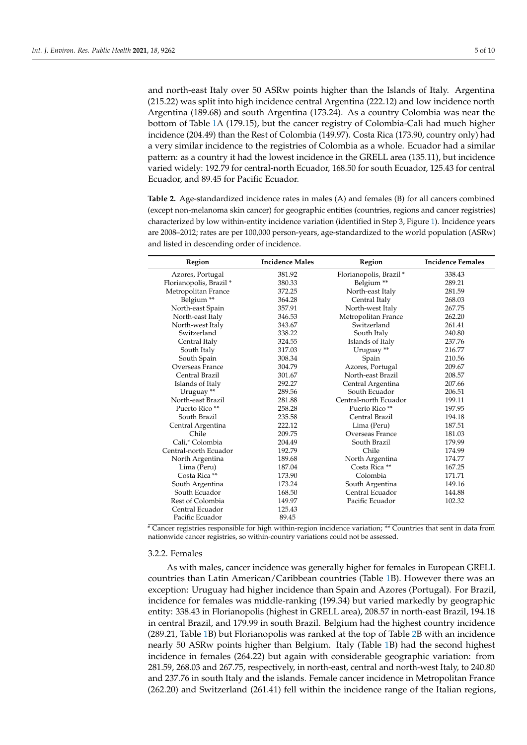and north-east Italy over 50 ASRw points higher than the Islands of Italy. Argentina (215.22) was split into high incidence central Argentina (222.12) and low incidence north Argentina (189.68) and south Argentina (173.24). As a country Colombia was near the bottom of Table [1A](#page-3-0) (179.15), but the cancer registry of Colombia-Cali had much higher incidence (204.49) than the Rest of Colombia (149.97). Costa Rica (173.90, country only) had a very similar incidence to the registries of Colombia as a whole. Ecuador had a similar pattern: as a country it had the lowest incidence in the GRELL area (135.11), but incidence varied widely: 192.79 for central-north Ecuador, 168.50 for south Ecuador, 125.43 for central Ecuador, and 89.45 for Pacific Ecuador.

<span id="page-4-0"></span>**Table 2.** Age-standardized incidence rates in males (A) and females (B) for all cancers combined (except non-melanoma skin cancer) for geographic entities (countries, regions and cancer registries) characterized by low within-entity incidence variation (identified in Step 3, Figure [1\)](#page-2-0). Incidence years are 2008–2012; rates are per 100,000 person-years, age-standardized to the world population (ASRw) and listed in descending order of incidence.

| Region                    | <b>Incidence Males</b> | Region                    | <b>Incidence Females</b> |
|---------------------------|------------------------|---------------------------|--------------------------|
| Azores, Portugal          | 381.92                 | Florianopolis, Brazil *   | 338.43                   |
| Florianopolis, Brazil *   | 380.33                 | Belgium <sup>**</sup>     | 289.21                   |
| Metropolitan France       | 372.25                 | North-east Italy          | 281.59                   |
| Belgium <sup>**</sup>     | 364.28                 | Central Italy             | 268.03                   |
| North-east Spain          | 357.91                 | North-west Italy          | 267.75                   |
| North-east Italy          | 346.53                 | Metropolitan France       | 262.20                   |
| North-west Italy          | 343.67                 | Switzerland               | 261.41                   |
| Switzerland               | 338.22                 | South Italy               | 240.80                   |
| Central Italy             | 324.55                 | Islands of Italy          | 237.76                   |
| South Italy               | 317.03                 | Uruguay <sup>**</sup>     | 216.77                   |
| South Spain               | 308.34                 | Spain                     | 210.56                   |
| Overseas France           | 304.79                 | Azores, Portugal          | 209.67                   |
| Central Brazil            | 301.67                 | North-east Brazil         | 208.57                   |
| Islands of Italy          | 292.27                 | Central Argentina         | 207.66                   |
| Uruguay <sup>**</sup>     | 289.56                 | South Ecuador             | 206.51                   |
| North-east Brazil         | 281.88                 | Central-north Ecuador     | 199.11                   |
| Puerto Rico <sup>**</sup> | 258.28                 | Puerto Rico <sup>**</sup> | 197.95                   |
| South Brazil              | 235.58                 | Central Brazil            | 194.18                   |
| Central Argentina         | 222.12                 | Lima (Peru)               | 187.51                   |
| Chile                     | 209.75                 | Overseas France           | 181.03                   |
| Cali.* Colombia           | 204.49                 | South Brazil              | 179.99                   |
| Central-north Ecuador     | 192.79                 | Chile                     | 174.99                   |
| North Argentina           | 189.68                 | North Argentina           | 174.77                   |
| Lima (Peru)               | 187.04                 | Costa Rica **             | 167.25                   |
| Costa Rica **             | 173.90                 | Colombia                  | 171.71                   |
| South Argentina           | 173.24                 | South Argentina           | 149.16                   |
| South Ecuador             | 168.50                 | Central Ecuador           | 144.88                   |
| Rest of Colombia          | 149.97                 | Pacific Ecuador           | 102.32                   |
| Central Ecuador           | 125.43                 |                           |                          |
| Pacific Ecuador           | 89.45                  |                           |                          |

\* Cancer registries responsible for high within-region incidence variation; \*\* Countries that sent in data from nationwide cancer registries, so within-country variations could not be assessed.

#### 3.2.2. Females

As with males, cancer incidence was generally higher for females in European GRELL countries than Latin American/Caribbean countries (Table [1B](#page-3-0)). However there was an exception: Uruguay had higher incidence than Spain and Azores (Portugal). For Brazil, incidence for females was middle-ranking (199.34) but varied markedly by geographic entity: 338.43 in Florianopolis (highest in GRELL area), 208.57 in north-east Brazil, 194.18 in central Brazil, and 179.99 in south Brazil. Belgium had the highest country incidence (289.21, Table [1B](#page-3-0)) but Florianopolis was ranked at the top of Table [2B](#page-4-0) with an incidence nearly 50 ASRw points higher than Belgium. Italy (Table [1B](#page-3-0)) had the second highest incidence in females (264.22) but again with considerable geographic variation: from 281.59, 268.03 and 267.75, respectively, in north-east, central and north-west Italy, to 240.80 and 237.76 in south Italy and the islands. Female cancer incidence in Metropolitan France (262.20) and Switzerland (261.41) fell within the incidence range of the Italian regions,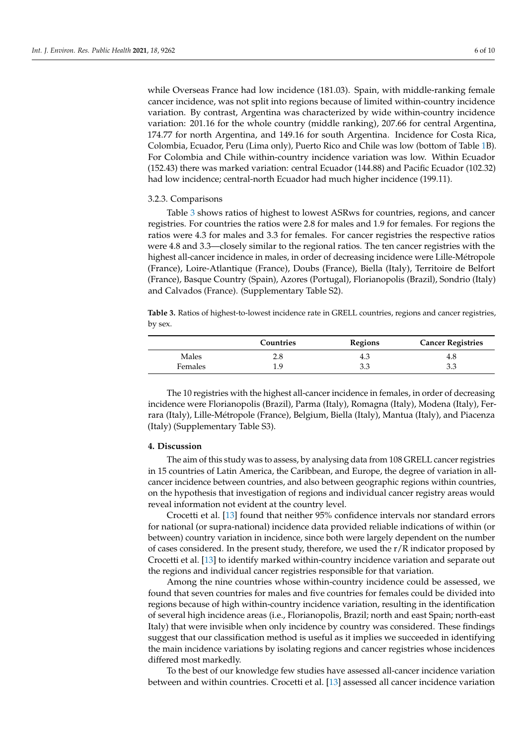while Overseas France had low incidence (181.03). Spain, with middle-ranking female cancer incidence, was not split into regions because of limited within-country incidence variation. By contrast, Argentina was characterized by wide within-country incidence variation: 201.16 for the whole country (middle ranking), 207.66 for central Argentina, 174.77 for north Argentina, and 149.16 for south Argentina. Incidence for Costa Rica, Colombia, Ecuador, Peru (Lima only), Puerto Rico and Chile was low (bottom of Table [1B](#page-3-0)). For Colombia and Chile within-country incidence variation was low. Within Ecuador (152.43) there was marked variation: central Ecuador (144.88) and Pacific Ecuador (102.32) had low incidence; central-north Ecuador had much higher incidence (199.11).

## 3.2.3. Comparisons

Table [3](#page-5-0) shows ratios of highest to lowest ASRws for countries, regions, and cancer registries. For countries the ratios were 2.8 for males and 1.9 for females. For regions the ratios were 4.3 for males and 3.3 for females. For cancer registries the respective ratios were 4.8 and 3.3—closely similar to the regional ratios. The ten cancer registries with the highest all-cancer incidence in males, in order of decreasing incidence were Lille-Métropole (France), Loire-Atlantique (France), Doubs (France), Biella (Italy), Territoire de Belfort (France), Basque Country (Spain), Azores (Portugal), Florianopolis (Brazil), Sondrio (Italy) and Calvados (France). (Supplementary Table S2).

<span id="page-5-0"></span>**Table 3.** Ratios of highest-to-lowest incidence rate in GRELL countries, regions and cancer registries, by sex.

|         | Countries | Regions | <b>Cancer Registries</b> |
|---------|-----------|---------|--------------------------|
| Males   | 2.8       | 4.3     | 4.8                      |
| Females | 1.9       | 3.3     | 3.3                      |

The 10 registries with the highest all-cancer incidence in females, in order of decreasing incidence were Florianopolis (Brazil), Parma (Italy), Romagna (Italy), Modena (Italy), Ferrara (Italy), Lille-Métropole (France), Belgium, Biella (Italy), Mantua (Italy), and Piacenza (Italy) (Supplementary Table S3).

## **4. Discussion**

The aim of this study was to assess, by analysing data from 108 GRELL cancer registries in 15 countries of Latin America, the Caribbean, and Europe, the degree of variation in allcancer incidence between countries, and also between geographic regions within countries, on the hypothesis that investigation of regions and individual cancer registry areas would reveal information not evident at the country level.

Crocetti et al. [\[13\]](#page-9-1) found that neither 95% confidence intervals nor standard errors for national (or supra-national) incidence data provided reliable indications of within (or between) country variation in incidence, since both were largely dependent on the number of cases considered. In the present study, therefore, we used the  $r/R$  indicator proposed by Crocetti et al. [\[13\]](#page-9-1) to identify marked within-country incidence variation and separate out the regions and individual cancer registries responsible for that variation.

Among the nine countries whose within-country incidence could be assessed, we found that seven countries for males and five countries for females could be divided into regions because of high within-country incidence variation, resulting in the identification of several high incidence areas (i.e., Florianopolis, Brazil; north and east Spain; north-east Italy) that were invisible when only incidence by country was considered. These findings suggest that our classification method is useful as it implies we succeeded in identifying the main incidence variations by isolating regions and cancer registries whose incidences differed most markedly.

To the best of our knowledge few studies have assessed all-cancer incidence variation between and within countries. Crocetti et al. [\[13\]](#page-9-1) assessed all cancer incidence variation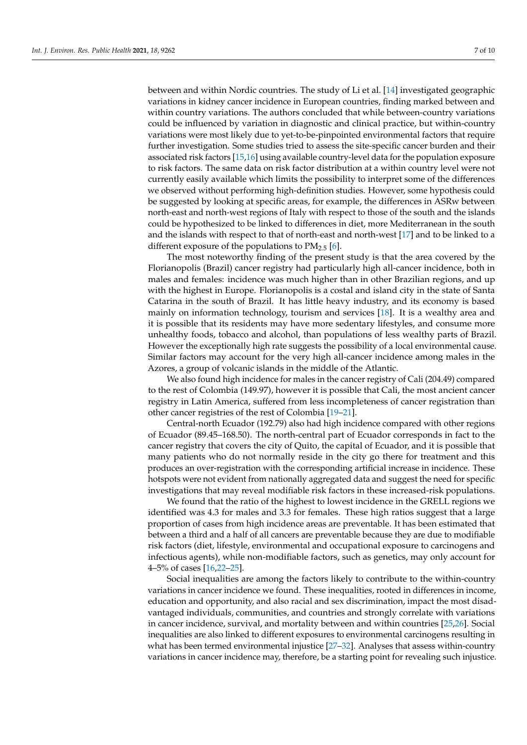between and within Nordic countries. The study of Li et al. [\[14\]](#page-9-2) investigated geographic variations in kidney cancer incidence in European countries, finding marked between and within country variations. The authors concluded that while between-country variations could be influenced by variation in diagnostic and clinical practice, but within-country variations were most likely due to yet-to-be-pinpointed environmental factors that require further investigation. Some studies tried to assess the site-specific cancer burden and their associated risk factors [\[15](#page-9-3)[,16\]](#page-9-4) using available country-level data for the population exposure to risk factors. The same data on risk factor distribution at a within country level were not currently easily available which limits the possibility to interpret some of the differences we observed without performing high-definition studies. However, some hypothesis could be suggested by looking at specific areas, for example, the differences in ASRw between north-east and north-west regions of Italy with respect to those of the south and the islands could be hypothesized to be linked to differences in diet, more Mediterranean in the south and the islands with respect to that of north-east and north-west [\[17\]](#page-9-5) and to be linked to a different exposure of the populations to  $PM_{2.5}$  [\[6\]](#page-8-5).

The most noteworthy finding of the present study is that the area covered by the Florianopolis (Brazil) cancer registry had particularly high all-cancer incidence, both in males and females: incidence was much higher than in other Brazilian regions, and up with the highest in Europe. Florianopolis is a costal and island city in the state of Santa Catarina in the south of Brazil. It has little heavy industry, and its economy is based mainly on information technology, tourism and services [\[18\]](#page-9-6). It is a wealthy area and it is possible that its residents may have more sedentary lifestyles, and consume more unhealthy foods, tobacco and alcohol, than populations of less wealthy parts of Brazil. However the exceptionally high rate suggests the possibility of a local environmental cause. Similar factors may account for the very high all-cancer incidence among males in the Azores, a group of volcanic islands in the middle of the Atlantic.

We also found high incidence for males in the cancer registry of Cali (204.49) compared to the rest of Colombia (149.97), however it is possible that Cali, the most ancient cancer registry in Latin America, suffered from less incompleteness of cancer registration than other cancer registries of the rest of Colombia [\[19–](#page-9-7)[21\]](#page-9-8).

Central-north Ecuador (192.79) also had high incidence compared with other regions of Ecuador (89.45–168.50). The north-central part of Ecuador corresponds in fact to the cancer registry that covers the city of Quito, the capital of Ecuador, and it is possible that many patients who do not normally reside in the city go there for treatment and this produces an over-registration with the corresponding artificial increase in incidence. These hotspots were not evident from nationally aggregated data and suggest the need for specific investigations that may reveal modifiable risk factors in these increased-risk populations.

We found that the ratio of the highest to lowest incidence in the GRELL regions we identified was 4.3 for males and 3.3 for females. These high ratios suggest that a large proportion of cases from high incidence areas are preventable. It has been estimated that between a third and a half of all cancers are preventable because they are due to modifiable risk factors (diet, lifestyle, environmental and occupational exposure to carcinogens and infectious agents), while non-modifiable factors, such as genetics, may only account for 4–5% of cases [\[16,](#page-9-4)[22](#page-9-9)[–25\]](#page-9-10).

Social inequalities are among the factors likely to contribute to the within-country variations in cancer incidence we found. These inequalities, rooted in differences in income, education and opportunity, and also racial and sex discrimination, impact the most disadvantaged individuals, communities, and countries and strongly correlate with variations in cancer incidence, survival, and mortality between and within countries [\[25,](#page-9-10)[26\]](#page-9-11). Social inequalities are also linked to different exposures to environmental carcinogens resulting in what has been termed environmental injustice [\[27](#page-9-12)[–32\]](#page-9-13). Analyses that assess within-country variations in cancer incidence may, therefore, be a starting point for revealing such injustice.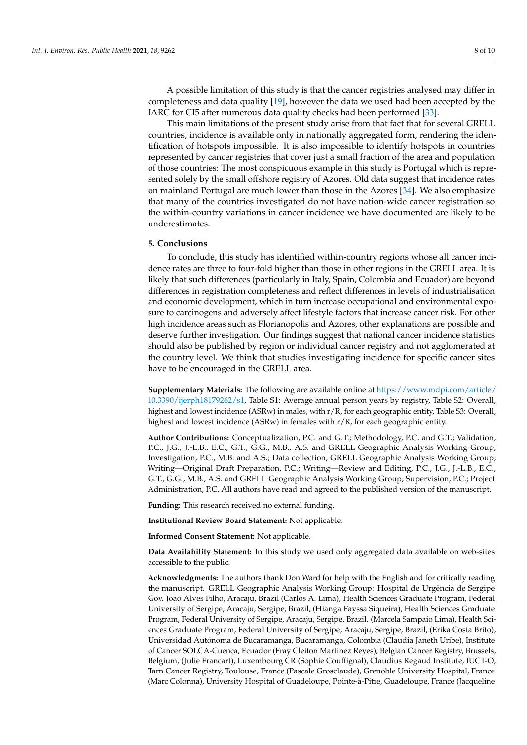A possible limitation of this study is that the cancer registries analysed may differ in completeness and data quality [\[19\]](#page-9-7), however the data we used had been accepted by the IARC for CI5 after numerous data quality checks had been performed [\[33\]](#page-9-14).

This main limitations of the present study arise from that fact that for several GRELL countries, incidence is available only in nationally aggregated form, rendering the identification of hotspots impossible. It is also impossible to identify hotspots in countries represented by cancer registries that cover just a small fraction of the area and population of those countries: The most conspicuous example in this study is Portugal which is represented solely by the small offshore registry of Azores. Old data suggest that incidence rates on mainland Portugal are much lower than those in the Azores [\[34\]](#page-9-15). We also emphasize that many of the countries investigated do not have nation-wide cancer registration so the within-country variations in cancer incidence we have documented are likely to be underestimates.

## **5. Conclusions**

To conclude, this study has identified within-country regions whose all cancer incidence rates are three to four-fold higher than those in other regions in the GRELL area. It is likely that such differences (particularly in Italy, Spain, Colombia and Ecuador) are beyond differences in registration completeness and reflect differences in levels of industrialisation and economic development, which in turn increase occupational and environmental exposure to carcinogens and adversely affect lifestyle factors that increase cancer risk. For other high incidence areas such as Florianopolis and Azores, other explanations are possible and deserve further investigation. Our findings suggest that national cancer incidence statistics should also be published by region or individual cancer registry and not agglomerated at the country level. We think that studies investigating incidence for specific cancer sites have to be encouraged in the GRELL area.

**Supplementary Materials:** The following are available online at [https://www.mdpi.com/article/](https://www.mdpi.com/article/10.3390/ijerph18179262/s1) [10.3390/ijerph18179262/s1,](https://www.mdpi.com/article/10.3390/ijerph18179262/s1) Table S1: Average annual person years by registry, Table S2: Overall, highest and lowest incidence (ASRw) in males, with r/R, for each geographic entity, Table S3: Overall, highest and lowest incidence (ASRw) in females with r/R, for each geographic entity.

**Author Contributions:** Conceptualization, P.C. and G.T.; Methodology, P.C. and G.T.; Validation, P.C., J.G., J.-L.B., E.C., G.T., G.G., M.B., A.S. and GRELL Geographic Analysis Working Group; Investigation, P.C., M.B. and A.S.; Data collection, GRELL Geographic Analysis Working Group; Writing—Original Draft Preparation, P.C.; Writing—Review and Editing, P.C., J.G., J.-L.B., E.C., G.T., G.G., M.B., A.S. and GRELL Geographic Analysis Working Group; Supervision, P.C.; Project Administration, P.C. All authors have read and agreed to the published version of the manuscript.

**Funding:** This research received no external funding.

**Institutional Review Board Statement:** Not applicable.

**Informed Consent Statement:** Not applicable.

**Data Availability Statement:** In this study we used only aggregated data available on web-sites accessible to the public.

**Acknowledgments:** The authors thank Don Ward for help with the English and for critically reading the manuscript. GRELL Geographic Analysis Working Group: Hospital de Urgência de Sergipe Gov. João Alves Filho, Aracaju, Brazil (Carlos A. Lima), Health Sciences Graduate Program, Federal University of Sergipe, Aracaju, Sergipe, Brazil, (Hianga Fayssa Siqueira), Health Sciences Graduate Program, Federal University of Sergipe, Aracaju, Sergipe, Brazil. (Marcela Sampaio Lima), Health Sciences Graduate Program, Federal University of Sergipe, Aracaju, Sergipe, Brazil, (Erika Costa Brito), Universidad Autónoma de Bucaramanga, Bucaramanga, Colombia (Claudia Janeth Uribe), Institute of Cancer SOLCA-Cuenca, Ecuador (Fray Cleiton Martinez Reyes), Belgian Cancer Registry, Brussels, Belgium, (Julie Francart), Luxembourg CR (Sophie Couffignal), Claudius Regaud Institute, IUCT-O, Tarn Cancer Registry, Toulouse, France (Pascale Grosclaude), Grenoble University Hospital, France (Marc Colonna), University Hospital of Guadeloupe, Pointe-à-Pitre, Guadeloupe, France (Jacqueline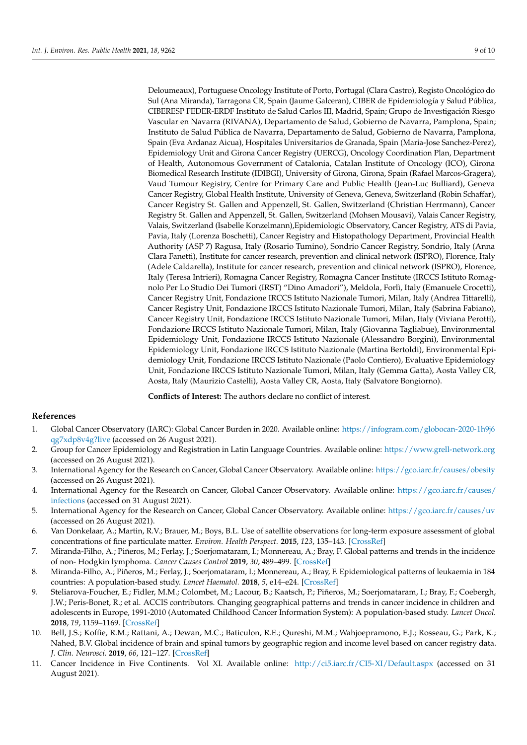Deloumeaux), Portuguese Oncology Institute of Porto, Portugal (Clara Castro), Registo Oncológico do Sul (Ana Miranda), Tarragona CR, Spain (Jaume Galceran), CIBER de Epidemiología y Salud Pública, CIBERESP FEDER-ERDF Instituto de Salud Carlos III, Madrid, Spain; Grupo de Investigación Riesgo Vascular en Navarra (RIVANA), Departamento de Salud, Gobierno de Navarra, Pamplona, Spain; Instituto de Salud Pública de Navarra, Departamento de Salud, Gobierno de Navarra, Pamplona, Spain (Eva Ardanaz Aicua), Hospitales Universitarios de Granada, Spain (Maria-Jose Sanchez-Perez), Epidemiology Unit and Girona Cancer Registry (UERCG), Oncology Coordination Plan, Department of Health, Autonomous Government of Catalonia, Catalan Institute of Oncology (ICO), Girona Biomedical Research Institute (IDIBGI), University of Girona, Girona, Spain (Rafael Marcos-Gragera), Vaud Tumour Registry, Centre for Primary Care and Public Health (Jean-Luc Bulliard), Geneva Cancer Registry, Global Health Institute, University of Geneva, Geneva, Switzerland (Robin Schaffar), Cancer Registry St. Gallen and Appenzell, St. Gallen, Switzerland (Christian Herrmann), Cancer Registry St. Gallen and Appenzell, St. Gallen, Switzerland (Mohsen Mousavi), Valais Cancer Registry, Valais, Switzerland (Isabelle Konzelmann),Epidemiologic Observatory, Cancer Registry, ATS di Pavia, Pavia, Italy (Lorenza Boschetti), Cancer Registry and Histopathology Department, Provincial Health Authority (ASP 7) Ragusa, Italy (Rosario Tumino), Sondrio Cancer Registry, Sondrio, Italy (Anna Clara Fanetti), Institute for cancer research, prevention and clinical network (ISPRO), Florence, Italy (Adele Caldarella), Institute for cancer research, prevention and clinical network (ISPRO), Florence, Italy (Teresa Intrieri), Romagna Cancer Registry, Romagna Cancer Institute (IRCCS Istituto Romagnolo Per Lo Studio Dei Tumori (IRST) "Dino Amadori"), Meldola, Forlì, Italy (Emanuele Crocetti), Cancer Registry Unit, Fondazione IRCCS Istituto Nazionale Tumori, Milan, Italy (Andrea Tittarelli), Cancer Registry Unit, Fondazione IRCCS Istituto Nazionale Tumori, Milan, Italy (Sabrina Fabiano), Cancer Registry Unit, Fondazione IRCCS Istituto Nazionale Tumori, Milan, Italy (Viviana Perotti), Fondazione IRCCS Istituto Nazionale Tumori, Milan, Italy (Giovanna Tagliabue), Environmental Epidemiology Unit, Fondazione IRCCS Istituto Nazionale (Alessandro Borgini), Environmental Epidemiology Unit, Fondazione IRCCS Istituto Nazionale (Martina Bertoldi), Environmental Epidemiology Unit, Fondazione IRCCS Istituto Nazionale (Paolo Contiero), Evaluative Epidemiology Unit, Fondazione IRCCS Istituto Nazionale Tumori, Milan, Italy (Gemma Gatta), Aosta Valley CR, Aosta, Italy (Maurizio Castelli), Aosta Valley CR, Aosta, Italy (Salvatore Bongiorno).

**Conflicts of Interest:** The authors declare no conflict of interest.

## **References**

- <span id="page-8-0"></span>1. Global Cancer Observatory (IARC): Global Cancer Burden in 2020. Available online: [https://infogram.com/globocan-2020-1h9j6](https://infogram.com/globocan-2020-1h9j6qg7xdp8v4g?live) [qg7xdp8v4g?live](https://infogram.com/globocan-2020-1h9j6qg7xdp8v4g?live) (accessed on 26 August 2021).
- <span id="page-8-1"></span>2. Group for Cancer Epidemiology and Registration in Latin Language Countries. Available online: <https://www.grell-network.org> (accessed on 26 August 2021).
- <span id="page-8-2"></span>3. International Agency for the Research on Cancer, Global Cancer Observatory. Available online: <https://gco.iarc.fr/causes/obesity> (accessed on 26 August 2021).
- <span id="page-8-3"></span>4. International Agency for the Research on Cancer, Global Cancer Observatory. Available online: [https://gco.iarc.fr/causes/](https://gco.iarc.fr/causes/infections) [infections](https://gco.iarc.fr/causes/infections) (accessed on 31 August 2021).
- <span id="page-8-4"></span>5. International Agency for the Research on Cancer, Global Cancer Observatory. Available online: <https://gco.iarc.fr/causes/uv> (accessed on 26 August 2021).
- <span id="page-8-5"></span>6. Van Donkelaar, A.; Martin, R.V.; Brauer, M.; Boys, B.L. Use of satellite observations for long-term exposure assessment of global concentrations of fine particulate matter. *Environ. Health Perspect.* **2015**, *123*, 135–143. [\[CrossRef\]](http://doi.org/10.1289/ehp.1408646)
- <span id="page-8-6"></span>7. Miranda-Filho, A.; Piñeros, M.; Ferlay, J.; Soerjomataram, I.; Monnereau, A.; Bray, F. Global patterns and trends in the incidence of non- Hodgkin lymphoma. *Cancer Causes Control* **2019**, *30*, 489–499. [\[CrossRef\]](http://doi.org/10.1007/s10552-019-01155-5)
- 8. Miranda-Filho, A.; Piñeros, M.; Ferlay, J.; Soerjomataram, I.; Monnereau, A.; Bray, F. Epidemiological patterns of leukaemia in 184 countries: A population-based study. *Lancet Haematol.* **2018**, *5*, e14–e24. [\[CrossRef\]](http://doi.org/10.1016/S2352-3026(17)30232-6)
- 9. Steliarova-Foucher, E.; Fidler, M.M.; Colombet, M.; Lacour, B.; Kaatsch, P.; Piñeros, M.; Soerjomataram, I.; Bray, F.; Coebergh, J.W.; Peris-Bonet, R.; et al. ACCIS contributors. Changing geographical patterns and trends in cancer incidence in children and adolescents in Europe, 1991-2010 (Automated Childhood Cancer Information System): A population-based study. *Lancet Oncol.* **2018**, *19*, 1159–1169. [\[CrossRef\]](http://doi.org/10.1016/S1470-2045(18)30423-6)
- <span id="page-8-7"></span>10. Bell, J.S.; Koffie, R.M.; Rattani, A.; Dewan, M.C.; Baticulon, R.E.; Qureshi, M.M.; Wahjoepramono, E.J.; Rosseau, G.; Park, K.; Nahed, B.V. Global incidence of brain and spinal tumors by geographic region and income level based on cancer registry data. *J. Clin. Neurosci.* **2019**, *66*, 121–127. [\[CrossRef\]](http://doi.org/10.1016/j.jocn.2019.05.003)
- <span id="page-8-8"></span>11. Cancer Incidence in Five Continents. Vol XI. Available online: <http://ci5.iarc.fr/CI5-XI/Default.aspx> (accessed on 31 August 2021).